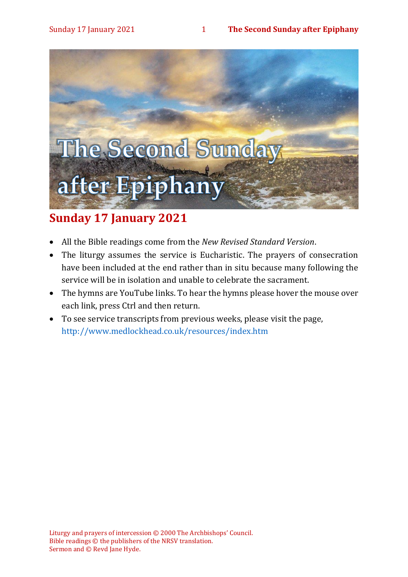

# **Sunday 17 January 2021**

- All the Bible readings come from the *New Revised Standard Version*.
- The liturgy assumes the service is Eucharistic. The prayers of consecration have been included at the end rather than in situ because many following the service will be in isolation and unable to celebrate the sacrament.
- The hymns are YouTube links. To hear the hymns please hover the mouse over each link, press Ctrl and then return.
- To see service transcripts from previous weeks, please visit the page, <http://www.medlockhead.co.uk/resources/index.htm>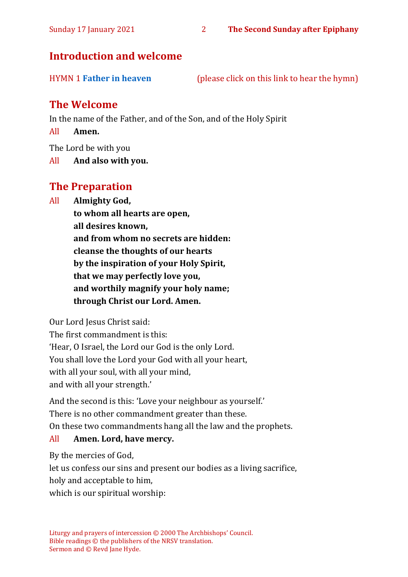# **Introduction and welcome**

HYMN 1 **[Father in heaven](https://youtu.be/1Uj060nzx7Q)** (please click on this link to hear the hymn)

# **The Welcome**

In the name of the Father, and of the Son, and of the Holy Spirit

All **Amen.**

The Lord be with you

All **And also with you.**

# **The Preparation**

All **Almighty God,**

**to whom all hearts are open, all desires known, and from whom no secrets are hidden: cleanse the thoughts of our hearts by the inspiration of your Holy Spirit, that we may perfectly love you, and worthily magnify your holy name; through Christ our Lord. Amen.**

Our Lord Jesus Christ said:

The first commandment is this: 'Hear, O Israel, the Lord our God is the only Lord. You shall love the Lord your God with all your heart, with all your soul, with all your mind, and with all your strength.'

And the second is this: 'Love your neighbour as yourself.' There is no other commandment greater than these. On these two commandments hang all the law and the prophets.

#### All **Amen. Lord, have mercy.**

By the mercies of God,

let us confess our sins and present our bodies as a living sacrifice,

holy and acceptable to him,

which is our spiritual worship: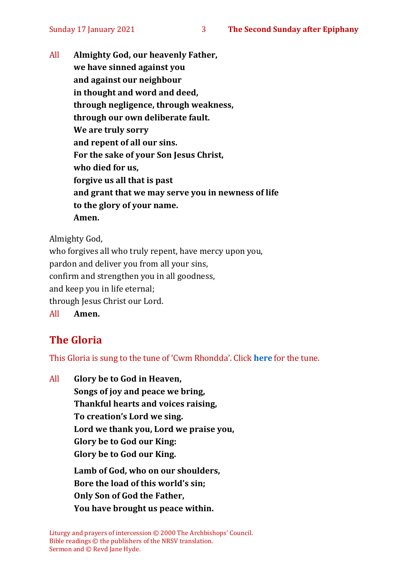All **Almighty God, our heavenly Father, we have sinned against you and against our neighbour in thought and word and deed, through negligence, through weakness, through our own deliberate fault. We are truly sorry and repent of all our sins. For the sake of your Son Jesus Christ, who died for us, forgive us all that is past and grant that we may serve you in newness of life to the glory of your name. Amen.**

Almighty God,

who forgives all who truly repent, have mercy upon you, pardon and deliver you from all your sins, confirm and strengthen you in all goodness, and keep you in life eternal; through Jesus Christ our Lord. All **Amen.**

# **The Gloria**

This Gloria is sung to the tune of 'Cwm Rhondda'. Click **[here](about:blank)** for the tune.

All **Glory be to God in Heaven, Songs of joy and peace we bring, Thankful hearts and voices raising, To creation's Lord we sing. Lord we thank you, Lord we praise you, Glory be to God our King: Glory be to God our King. Lamb of God, who on our shoulders, Bore the load of this world's sin; Only Son of God the Father, You have brought us peace within.**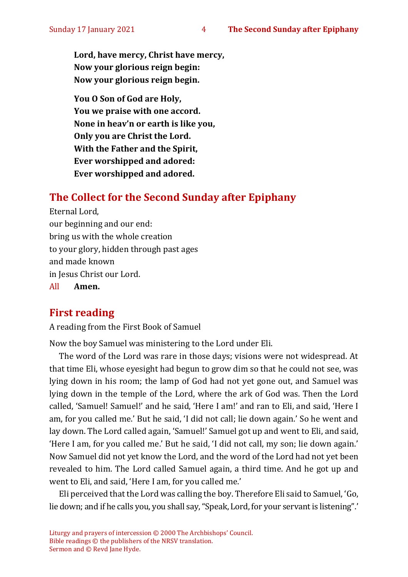**Lord, have mercy, Christ have mercy, Now your glorious reign begin: Now your glorious reign begin.**

**You O Son of God are Holy, You we praise with one accord. None in heav'n or earth is like you, Only you are Christ the Lord. With the Father and the Spirit, Ever worshipped and adored: Ever worshipped and adored.**

# **The Collect for the Second Sunday after Epiphany**

Eternal Lord, our beginning and our end: bring us with the whole creation to your glory, hidden through past ages and made known in Jesus Christ our Lord. All **Amen.**

# **First reading**

A reading from the First Book of Samuel

Now the boy Samuel was ministering to the Lord under Eli.

The word of the Lord was rare in those days; visions were not widespread. At that time Eli, whose eyesight had begun to grow dim so that he could not see, was lying down in his room; the lamp of God had not yet gone out, and Samuel was lying down in the temple of the Lord, where the ark of God was. Then the Lord called, 'Samuel! Samuel!' and he said, 'Here I am!' and ran to Eli, and said, 'Here I am, for you called me.' But he said, 'I did not call; lie down again.' So he went and lay down. The Lord called again, 'Samuel!' Samuel got up and went to Eli, and said, 'Here I am, for you called me.' But he said, 'I did not call, my son; lie down again.' Now Samuel did not yet know the Lord, and the word of the Lord had not yet been revealed to him. The Lord called Samuel again, a third time. And he got up and went to Eli, and said, 'Here I am, for you called me.'

Eli perceived that the Lord was calling the boy. Therefore Eli said to Samuel, 'Go, lie down; and if he calls you, you shall say, "Speak, Lord, for your servant is listening".'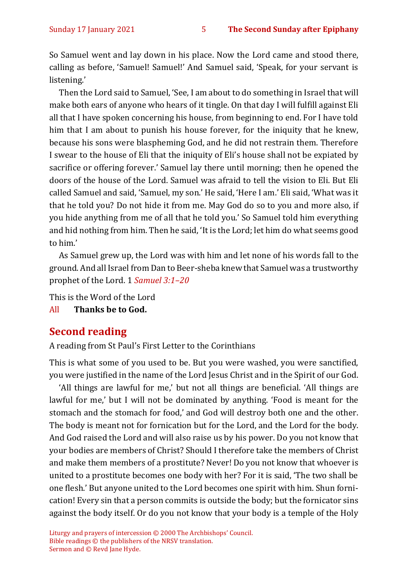So Samuel went and lay down in his place. Now the Lord came and stood there, calling as before, 'Samuel! Samuel!' And Samuel said, 'Speak, for your servant is listening.'

Then the Lord said to Samuel, 'See, I am about to do something in Israel that will make both ears of anyone who hears of it tingle. On that day I will fulfill against Eli all that I have spoken concerning his house, from beginning to end. For I have told him that I am about to punish his house forever, for the iniquity that he knew, because his sons were blaspheming God, and he did not restrain them. Therefore I swear to the house of Eli that the iniquity of Eli's house shall not be expiated by sacrifice or offering forever.' Samuel lay there until morning; then he opened the doors of the house of the Lord. Samuel was afraid to tell the vision to Eli. But Eli called Samuel and said, 'Samuel, my son.' He said, 'Here I am.' Eli said, 'What was it that he told you? Do not hide it from me. May God do so to you and more also, if you hide anything from me of all that he told you.' So Samuel told him everything and hid nothing from him. Then he said, 'It is the Lord; let him do what seems good to him.'

As Samuel grew up, the Lord was with him and let none of his words fall to the ground. And all Israel from Dan to Beer-sheba knew that Samuel was a trustworthy prophet of the Lord. 1 *Samuel 3:1–20*

This is the Word of the Lord

All **Thanks be to God.**

# **Second reading**

A reading from St Paul's First Letter to the Corinthians

This is what some of you used to be. But you were washed, you were sanctified, you were justified in the name of the Lord Jesus Christ and in the Spirit of our God.

'All things are lawful for me,' but not all things are beneficial. 'All things are lawful for me,' but I will not be dominated by anything. 'Food is meant for the stomach and the stomach for food,' and God will destroy both one and the other. The body is meant not for fornication but for the Lord, and the Lord for the body. And God raised the Lord and will also raise us by his power. Do you not know that your bodies are members of Christ? Should I therefore take the members of Christ and make them members of a prostitute? Never! Do you not know that whoever is united to a prostitute becomes one body with her? For it is said, 'The two shall be one flesh.' But anyone united to the Lord becomes one spirit with him. Shun fornication! Every sin that a person commits is outside the body; but the fornicator sins against the body itself. Or do you not know that your body is a temple of the Holy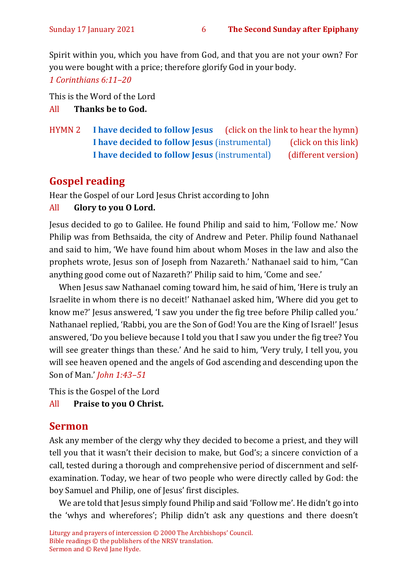Spirit within you, which you have from God, and that you are not your own? For you were bought with a price; therefore glorify God in your body.

*1 Corinthians 6:11–20*

This is the Word of the Lord

All **Thanks be to God.**

HYMN 2 **[I have decided to follow Jesus](https://www.youtube.com/watch?v=8NKIMfgOI_w)** (click on the link to hear the hymn) **[I have decided to follow Jesus](https://www.youtube.com/watch?v=Zb0AQgDtWVQ)** (instrumental) (click on this link) **[I have decided to follow Jesus](https://www.youtube.com/watch?v=yBcr7GUJvxI)** (instrumental) (different version)

# **Gospel reading**

Hear the Gospel of our Lord Jesus Christ according to John

#### All **Glory to you O Lord.**

Jesus decided to go to Galilee. He found Philip and said to him, 'Follow me.' Now Philip was from Bethsaida, the city of Andrew and Peter. Philip found Nathanael and said to him, 'We have found him about whom Moses in the law and also the prophets wrote, Jesus son of Joseph from Nazareth.' Nathanael said to him, "Can anything good come out of Nazareth?' Philip said to him, 'Come and see.'

When Jesus saw Nathanael coming toward him, he said of him, 'Here is truly an Israelite in whom there is no deceit!' Nathanael asked him, 'Where did you get to know me?' Jesus answered, 'I saw you under the fig tree before Philip called you.' Nathanael replied, 'Rabbi, you are the Son of God! You are the King of Israel!' Jesus answered, 'Do you believe because I told you that I saw you under the fig tree? You will see greater things than these.' And he said to him, 'Very truly, I tell you, you will see heaven opened and the angels of God ascending and descending upon the Son of Man.' *John 1:43–51*

This is the Gospel of the Lord

All **Praise to you O Christ.** 

# **Sermon**

Ask any member of the clergy why they decided to become a priest, and they will tell you that it wasn't their decision to make, but God's; a sincere conviction of a call, tested during a thorough and comprehensive period of discernment and selfexamination. Today, we hear of two people who were directly called by God: the boy Samuel and Philip, one of Jesus' first disciples.

We are told that Jesus simply found Philip and said 'Follow me'. He didn't go into the 'whys and wherefores'; Philip didn't ask any questions and there doesn't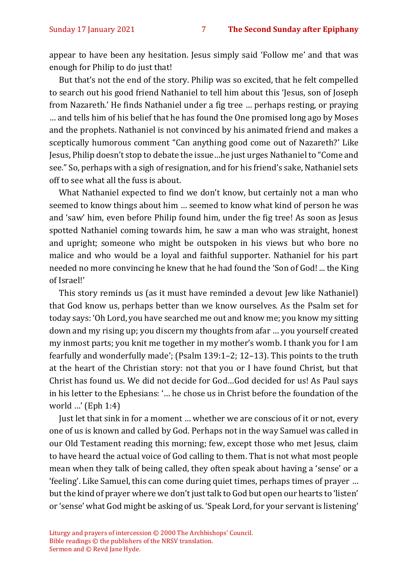appear to have been any hesitation. Jesus simply said 'Follow me' and that was enough for Philip to do just that!

But that's not the end of the story. Philip was so excited, that he felt compelled to search out his good friend Nathaniel to tell him about this 'Jesus, son of Joseph from Nazareth.' He finds Nathaniel under a fig tree … perhaps resting, or praying … and tells him of his belief that he has found the One promised long ago by Moses and the prophets. Nathaniel is not convinced by his animated friend and makes a sceptically humorous comment "Can anything good come out of Nazareth?' Like Jesus, Philip doesn't stop to debate the issue…he just urges Nathaniel to "Come and see." So, perhaps with a sigh of resignation, and for his friend's sake, Nathaniel sets off to see what all the fuss is about.

What Nathaniel expected to find we don't know, but certainly not a man who seemed to know things about him … seemed to know what kind of person he was and 'saw' him, even before Philip found him, under the fig tree! As soon as Jesus spotted Nathaniel coming towards him, he saw a man who was straight, honest and upright; someone who might be outspoken in his views but who bore no malice and who would be a loyal and faithful supporter. Nathaniel for his part needed no more convincing he knew that he had found the 'Son of God! ... the King of Israel!'

This story reminds us (as it must have reminded a devout Jew like Nathaniel) that God know us, perhaps better than we know ourselves. As the Psalm set for today says: 'Oh Lord, you have searched me out and know me; you know my sitting down and my rising up; you discern my thoughts from afar … you yourself created my inmost parts; you knit me together in my mother's womb. I thank you for I am fearfully and wonderfully made'; (Psalm 139:1–2; 12–13). This points to the truth at the heart of the Christian story: not that you or I have found Christ, but that Christ has found us. We did not decide for God…God decided for us! As Paul says in his letter to the Ephesians: '… he chose us in Christ before the foundation of the world …' (Eph 1:4)

Just let that sink in for a moment … whether we are conscious of it or not, every one of us is known and called by God. Perhaps not in the way Samuel was called in our Old Testament reading this morning; few, except those who met Jesus, claim to have heard the actual voice of God calling to them. That is not what most people mean when they talk of being called, they often speak about having a 'sense' or a 'feeling'. Like Samuel, this can come during quiet times, perhaps times of prayer … but the kind of prayer where we don't just talk to God but open our hearts to 'listen' or 'sense' what God might be asking of us. 'Speak Lord, for your servant is listening'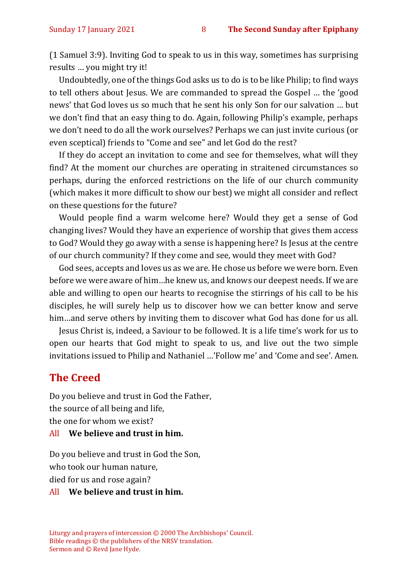(1 Samuel 3:9). Inviting God to speak to us in this way, sometimes has surprising results … you might try it!

Undoubtedly, one of the things God asks us to do is to be like Philip; to find ways to tell others about Jesus. We are commanded to spread the Gospel … the 'good news' that God loves us so much that he sent his only Son for our salvation … but we don't find that an easy thing to do. Again, following Philip's example, perhaps we don't need to do all the work ourselves? Perhaps we can just invite curious (or even sceptical) friends to "Come and see" and let God do the rest?

If they do accept an invitation to come and see for themselves, what will they find? At the moment our churches are operating in straitened circumstances so perhaps, during the enforced restrictions on the life of our church community (which makes it more difficult to show our best) we might all consider and reflect on these questions for the future?

Would people find a warm welcome here? Would they get a sense of God changing lives? Would they have an experience of worship that gives them access to God? Would they go away with a sense is happening here? Is Jesus at the centre of our church community? If they come and see, would they meet with God?

God sees, accepts and loves us as we are. He chose us before we were born. Even before we were aware of him…he knew us, and knows our deepest needs. If we are able and willing to open our hearts to recognise the stirrings of his call to be his disciples, he will surely help us to discover how we can better know and serve him…and serve others by inviting them to discover what God has done for us all.

Jesus Christ is, indeed, a Saviour to be followed. It is a life time's work for us to open our hearts that God might to speak to us, and live out the two simple invitations issued to Philip and Nathaniel …'Follow me' and 'Come and see'. Amen.

#### **The Creed**

Do you believe and trust in God the Father, the source of all being and life, the one for whom we exist?

#### All **We believe and trust in him.**

Do you believe and trust in God the Son, who took our human nature, died for us and rose again?

#### All **We believe and trust in him.**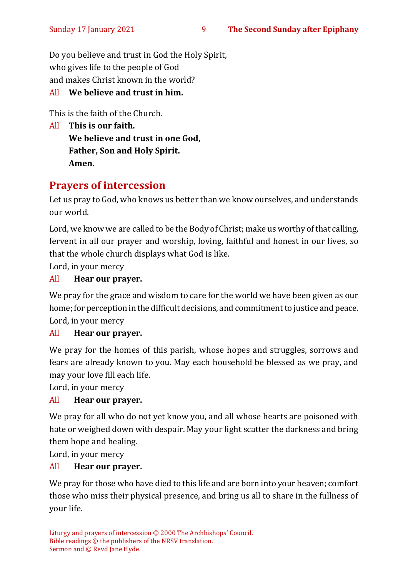#### Sunday 17 January 2021 9 **The Second Sunday after Epiphany**

Do you believe and trust in God the Holy Spirit, who gives life to the people of God and makes Christ known in the world?

#### All **We believe and trust in him.**

This is the faith of the Church.

All **This is our faith. We believe and trust in one God, Father, Son and Holy Spirit. Amen.**

# **Prayers of intercession**

Let us pray to God, who knows us better than we know ourselves, and understands our world.

Lord, we know we are called to be the Body of Christ; make us worthy of that calling, fervent in all our prayer and worship, loving, faithful and honest in our lives, so that the whole church displays what God is like.

Lord, in your mercy

#### All **Hear our prayer.**

We pray for the grace and wisdom to care for the world we have been given as our home; for perception in the difficult decisions, and commitment to justice and peace. Lord, in your mercy

#### All **Hear our prayer.**

We pray for the homes of this parish, whose hopes and struggles, sorrows and fears are already known to you. May each household be blessed as we pray, and may your love fill each life.

Lord, in your mercy

#### All **Hear our prayer.**

We pray for all who do not yet know you, and all whose hearts are poisoned with hate or weighed down with despair. May your light scatter the darkness and bring them hope and healing.

Lord, in your mercy

#### All **Hear our prayer.**

We pray for those who have died to this life and are born into your heaven; comfort those who miss their physical presence, and bring us all to share in the fullness of your life.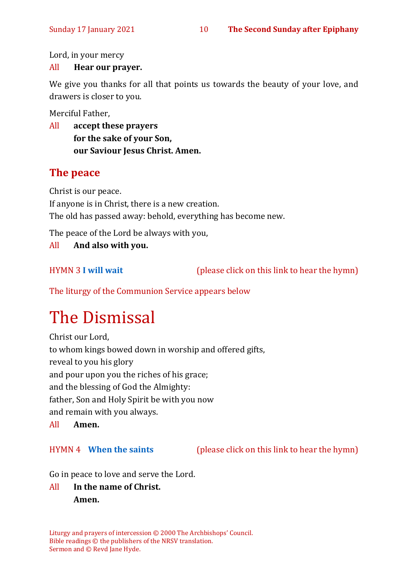Lord, in your mercy

#### All **Hear our prayer.**

We give you thanks for all that points us towards the beauty of your love, and drawers is closer to you.

Merciful Father,

All **accept these prayers for the sake of your Son, our Saviour Jesus Christ. Amen.**

# **The peace**

Christ is our peace.

If anyone is in Christ, there is a new creation.

The old has passed away: behold, everything has become new.

The peace of the Lord be always with you,

All **And also with you.**

HYMN 3 **[I will wait](https://youtu.be/eUwyOWTY8_Y)** (please click on this link to hear the hymn)

The liturgy of the Communion Service appears below

# The Dismissal

Christ our Lord, to whom kings bowed down in worship and offered gifts, reveal to you his glory and pour upon you the riches of his grace; and the blessing of God the Almighty: father, Son and Holy Spirit be with you now and remain with you always.

All **Amen.**

HYMN 4 **[When the saints](https://www.youtube.com/watch?v=advlnJPEbEw)** (please click on this link to hear the hymn)

Go in peace to love and serve the Lord.

# All **In the name of Christ. Amen.**

Liturgy and prayers of intercession © 2000 The Archbishops' Council. Bible readings © the publishers of the NRSV translation. Sermon and © Revd Jane Hyde.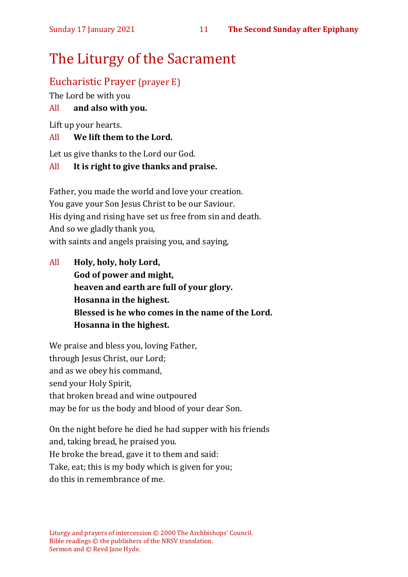# The Liturgy of the Sacrament

# Eucharistic Prayer (prayer E)

The Lord be with you

## All **and also with you.**

Lift up your hearts.

### All **We lift them to the Lord.**

Let us give thanks to the Lord our God.

### All **It is right to give thanks and praise.**

Father, you made the world and love your creation. You gave your Son Jesus Christ to be our Saviour. His dying and rising have set us free from sin and death. And so we gladly thank you, with saints and angels praising you, and saying,

All **Holy, holy, holy Lord, God of power and might, heaven and earth are full of your glory. Hosanna in the highest. Blessed is he who comes in the name of the Lord. Hosanna in the highest.**

We praise and bless you, loving Father, through Jesus Christ, our Lord; and as we obey his command, send your Holy Spirit, that broken bread and wine outpoured may be for us the body and blood of your dear Son.

On the night before he died he had supper with his friends and, taking bread, he praised you. He broke the bread, gave it to them and said: Take, eat; this is my body which is given for you; do this in remembrance of me.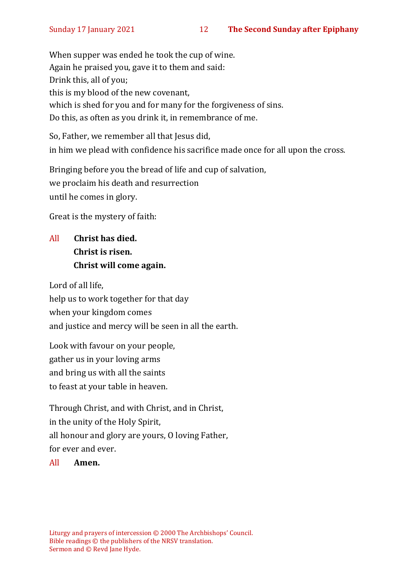When supper was ended he took the cup of wine. Again he praised you, gave it to them and said: Drink this, all of you; this is my blood of the new covenant, which is shed for you and for many for the forgiveness of sins. Do this, as often as you drink it, in remembrance of me.

So, Father, we remember all that Jesus did, in him we plead with confidence his sacrifice made once for all upon the cross.

Bringing before you the bread of life and cup of salvation, we proclaim his death and resurrection until he comes in glory.

Great is the mystery of faith:

# All **Christ has died. Christ is risen. Christ will come again.**

Lord of all life, help us to work together for that day when your kingdom comes and justice and mercy will be seen in all the earth.

Look with favour on your people, gather us in your loving arms and bring us with all the saints to feast at your table in heaven.

Through Christ, and with Christ, and in Christ, in the unity of the Holy Spirit, all honour and glory are yours, O loving Father, for ever and ever.

All **Amen.**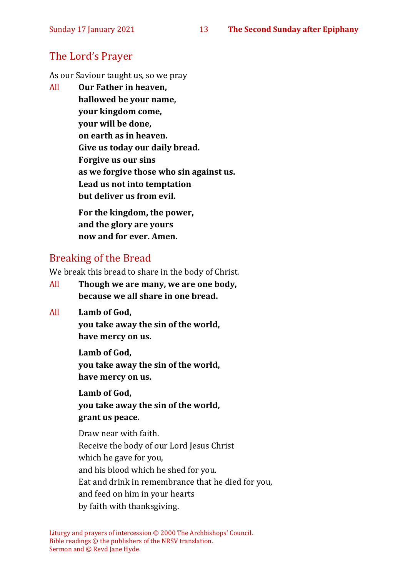# The Lord's Prayer

As our Saviour taught us, so we pray

All **Our Father in heaven, hallowed be your name, your kingdom come, your will be done, on earth as in heaven. Give us today our daily bread. Forgive us our sins as we forgive those who sin against us. Lead us not into temptation but deliver us from evil. For the kingdom, the power,** 

**and the glory are yours now and for ever. Amen.**

# Breaking of the Bread

We break this bread to share in the body of Christ.

- All **Though we are many, we are one body, because we all share in one bread.**
- All **Lamb of God,**

**you take away the sin of the world, have mercy on us.**

**Lamb of God, you take away the sin of the world, have mercy on us.**

**Lamb of God, you take away the sin of the world, grant us peace.**

Draw near with faith. Receive the body of our Lord Jesus Christ which he gave for you, and his blood which he shed for you. Eat and drink in remembrance that he died for you, and feed on him in your hearts by faith with thanksgiving.